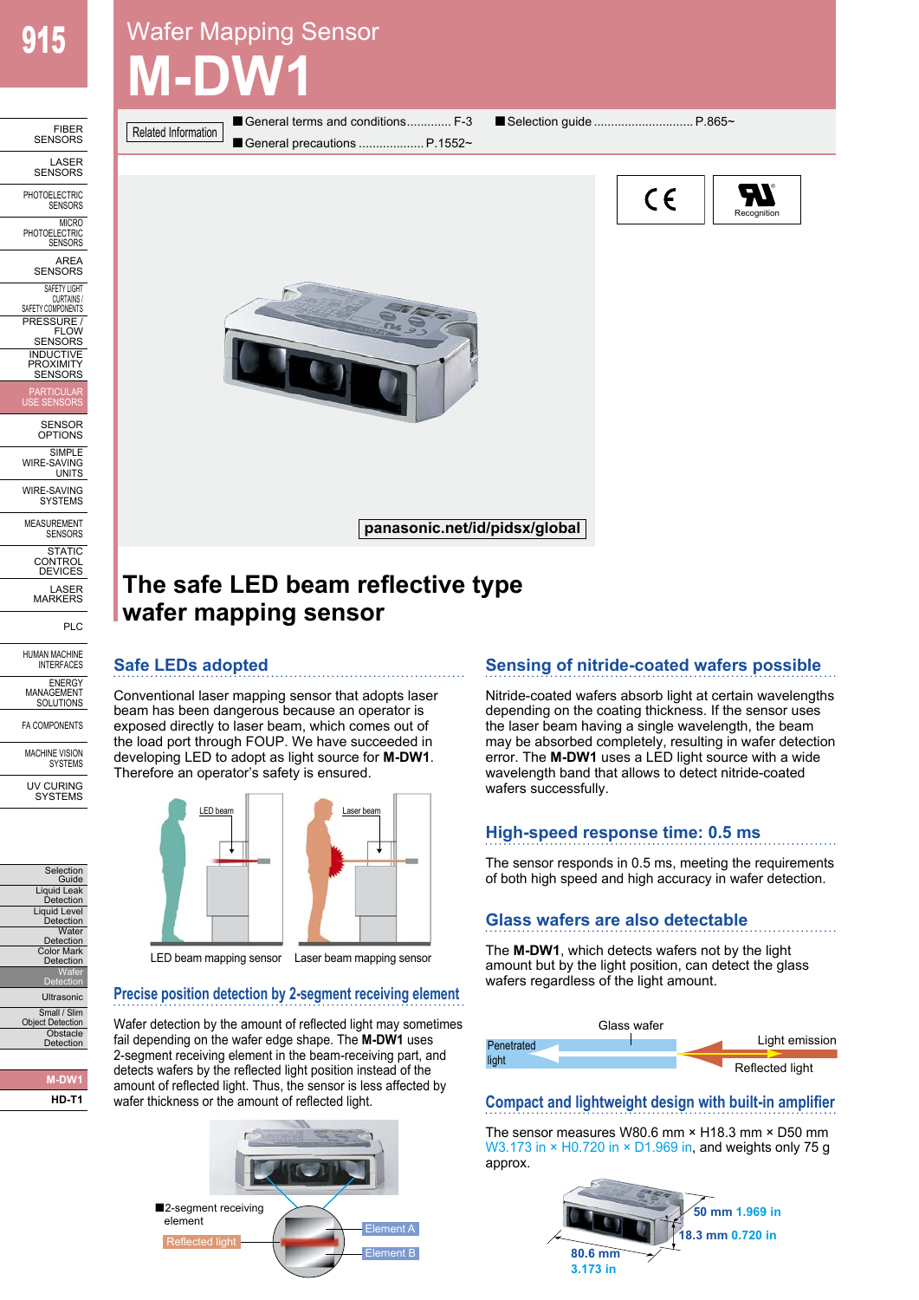FIBER<br>SENSORS

LASER SENSORS PHOTOELECTRIC **SENSORS MICRO PHOTOELECTRIC** SENSORS AREA<br>SENSORS SAFETY LIGHT CURTAINS / SAFETY COMPONENTS PRESSURE / FLOW SENSORS INDUCTIVE **PROXIMITY** SENSORS PARTICULAR USE SENSORS SENSOR OPTIONS SIMPLE WIRE-SAVING UNITS WIRE-SAVING **SYSTEMS** 

MEASUREMENT SENSORS STATIC CONTROL DEVICES LASER MARKERS

PLC

HUMAN MACHINE **INTERFACES ENERGY** MANAGEMENT SOLUTIONS FA COMPONENTS

MACHINE VISION SYSTEMS UV CURING **SYSTEMS** 

# Wafer Mapping Sensor **M-DW1**

Related Information

■ General terms and conditions............. F-3 ■ Selection guide ................................ P.865~ General precautions .................... P.1552~





## **The safe LED beam reflective type wafer mapping sensor**

## **Safe LEDs adopted**

Conventional laser mapping sensor that adopts laser beam has been dangerous because an operator is exposed directly to laser beam, which comes out of the load port through FOUP. We have succeeded in developing LED to adopt as light source for **M-DW1**. Therefore an operator's safety is ensured.



## **Precise position detection by 2-segment receiving element**

Wafer detection by the amount of reflected light may sometimes fail depending on the wafer edge shape. The **M-DW1** uses 2-segment receiving element in the beam-receiving part, and detects wafers by the reflected light position instead of the amount of reflected light. Thus, the sensor is less affected by wafer thickness or the amount of reflected light.



## **Sensing of nitride-coated wafers possible**

Nitride-coated wafers absorb light at certain wavelengths depending on the coating thickness. If the sensor uses the laser beam having a single wavelength, the beam may be absorbed completely, resulting in wafer detection error. The **M-DW1** uses a LED light source with a wide wavelength band that allows to detect nitride-coated wafers successfully.

## **High-speed response time: 0.5 ms**

The sensor responds in 0.5 ms, meeting the requirements of both high speed and high accuracy in wafer detection.

## **Glass wafers are also detectable**

The **M-DW1**, which detects wafers not by the light amount but by the light position, can detect the glass wafers regardless of the light amount.



## **Compact and lightweight design with built-in amplifier**

The sensor measures W80.6 mm × H18.3 mm × D50 mm W3.173 in  $\times$  H0.720 in  $\times$  D1.969 in, and weights only 75 g approx.





**M-DW1 HD-T1**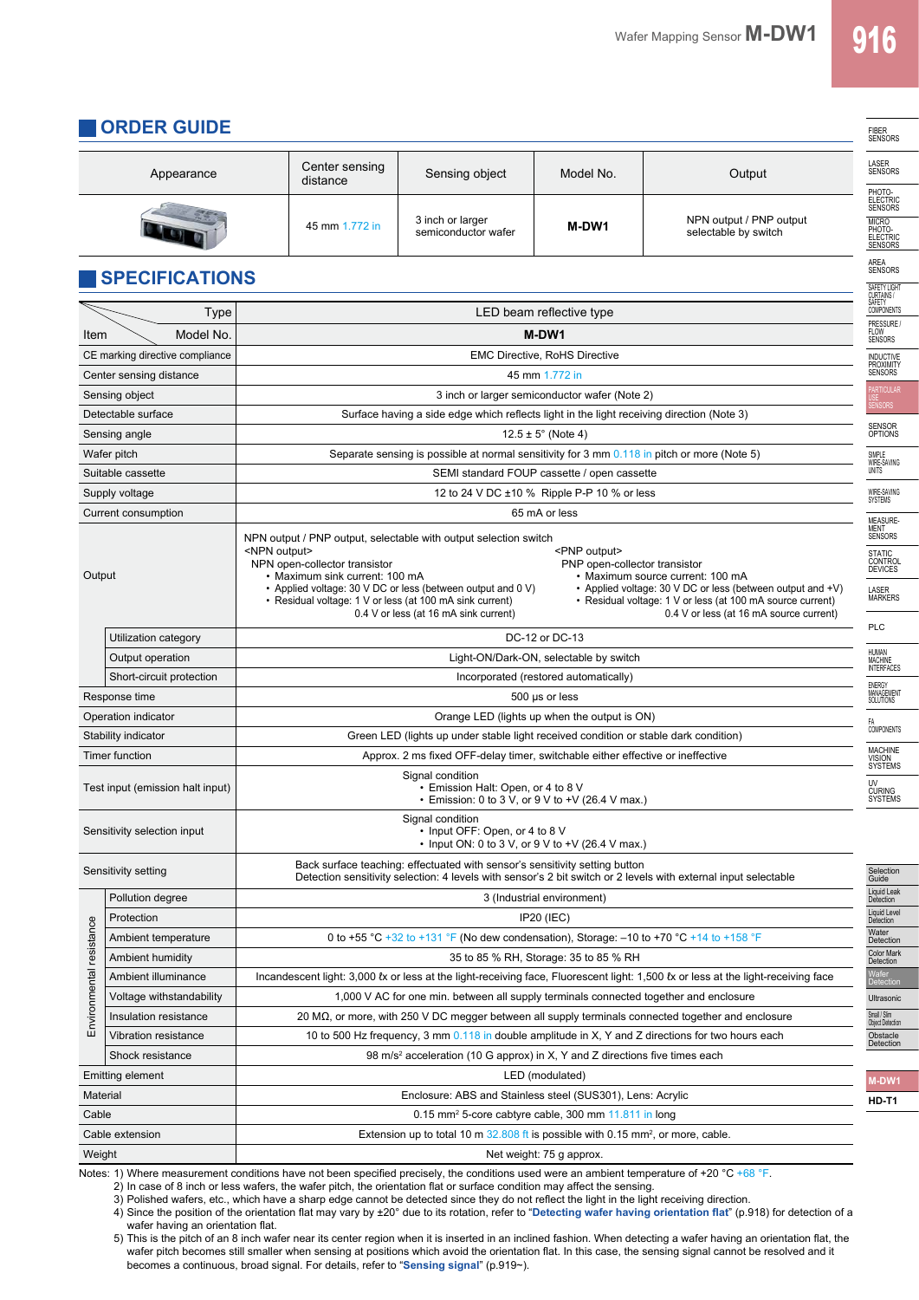FIBER

## **ORDER GUIDE**

| Appearance                       |                                                            | Center sensing<br>distance                                                                                                                                                                                                                                                                                                              | Sensing object                                                                                           | Model No.                            | Output                                                                                                                                          |  |
|----------------------------------|------------------------------------------------------------|-----------------------------------------------------------------------------------------------------------------------------------------------------------------------------------------------------------------------------------------------------------------------------------------------------------------------------------------|----------------------------------------------------------------------------------------------------------|--------------------------------------|-------------------------------------------------------------------------------------------------------------------------------------------------|--|
|                                  |                                                            | 45 mm 1.772 in                                                                                                                                                                                                                                                                                                                          | 3 inch or larger<br>semiconductor wafer                                                                  | M-DW1                                | NPN output / PNP output<br>selectable by switch                                                                                                 |  |
|                                  | <b>SPECIFICATIONS</b>                                      |                                                                                                                                                                                                                                                                                                                                         |                                                                                                          |                                      |                                                                                                                                                 |  |
|                                  | Type                                                       |                                                                                                                                                                                                                                                                                                                                         |                                                                                                          | LED beam reflective type             |                                                                                                                                                 |  |
| Item                             | Model No.                                                  |                                                                                                                                                                                                                                                                                                                                         | M-DW1                                                                                                    |                                      |                                                                                                                                                 |  |
|                                  | CE marking directive compliance                            |                                                                                                                                                                                                                                                                                                                                         |                                                                                                          | <b>EMC Directive, RoHS Directive</b> |                                                                                                                                                 |  |
|                                  | Center sensing distance                                    |                                                                                                                                                                                                                                                                                                                                         |                                                                                                          | 45 mm 1.772 in                       |                                                                                                                                                 |  |
|                                  | Sensing object                                             | 3 inch or larger semiconductor wafer (Note 2)                                                                                                                                                                                                                                                                                           |                                                                                                          |                                      |                                                                                                                                                 |  |
|                                  | Detectable surface                                         | Surface having a side edge which reflects light in the light receiving direction (Note 3)                                                                                                                                                                                                                                               |                                                                                                          |                                      |                                                                                                                                                 |  |
|                                  | Sensing angle                                              |                                                                                                                                                                                                                                                                                                                                         |                                                                                                          | $12.5 \pm 5^{\circ}$ (Note 4)        |                                                                                                                                                 |  |
|                                  | Wafer pitch                                                |                                                                                                                                                                                                                                                                                                                                         | Separate sensing is possible at normal sensitivity for 3 mm 0.118 in pitch or more (Note 5)              |                                      |                                                                                                                                                 |  |
|                                  | Suitable cassette                                          | SEMI standard FOUP cassette / open cassette                                                                                                                                                                                                                                                                                             |                                                                                                          |                                      |                                                                                                                                                 |  |
|                                  | Supply voltage                                             | 12 to 24 V DC ±10 % Ripple P-P 10 % or less                                                                                                                                                                                                                                                                                             |                                                                                                          |                                      |                                                                                                                                                 |  |
|                                  | Current consumption                                        | 65 mA or less                                                                                                                                                                                                                                                                                                                           |                                                                                                          |                                      |                                                                                                                                                 |  |
|                                  |                                                            | NPN output / PNP output, selectable with output selection switch                                                                                                                                                                                                                                                                        |                                                                                                          |                                      |                                                                                                                                                 |  |
|                                  |                                                            | <npn output=""><br/><pnp output=""><br/>NPN open-collector transistor<br/>PNP open-collector transistor</pnp></npn>                                                                                                                                                                                                                     |                                                                                                          |                                      |                                                                                                                                                 |  |
| Output                           |                                                            | • Maximum sink current: 100 mA<br>• Maximum source current: 100 mA                                                                                                                                                                                                                                                                      |                                                                                                          |                                      |                                                                                                                                                 |  |
|                                  |                                                            | • Applied voltage: 30 V DC or less (between output and 0 V)<br>• Applied voltage: 30 V DC or less (between output and +V)<br>• Residual voltage: 1 V or less (at 100 mA sink current)<br>• Residual voltage: 1 V or less (at 100 mA source current)<br>0.4 V or less (at 16 mA sink current)<br>0.4 V or less (at 16 mA source current) |                                                                                                          |                                      |                                                                                                                                                 |  |
|                                  | Utilization category                                       |                                                                                                                                                                                                                                                                                                                                         |                                                                                                          | DC-12 or DC-13                       |                                                                                                                                                 |  |
|                                  | Light-ON/Dark-ON, selectable by switch<br>Output operation |                                                                                                                                                                                                                                                                                                                                         |                                                                                                          |                                      |                                                                                                                                                 |  |
|                                  | Short-circuit protection                                   | Incorporated (restored automatically)                                                                                                                                                                                                                                                                                                   |                                                                                                          |                                      |                                                                                                                                                 |  |
| Response time                    |                                                            | 500 µs or less                                                                                                                                                                                                                                                                                                                          |                                                                                                          |                                      |                                                                                                                                                 |  |
|                                  | Operation indicator                                        | Orange LED (lights up when the output is ON)                                                                                                                                                                                                                                                                                            |                                                                                                          |                                      |                                                                                                                                                 |  |
|                                  | Stability indicator                                        | Green LED (lights up under stable light received condition or stable dark condition)                                                                                                                                                                                                                                                    |                                                                                                          |                                      |                                                                                                                                                 |  |
|                                  | Timer function                                             |                                                                                                                                                                                                                                                                                                                                         | Approx. 2 ms fixed OFF-delay timer, switchable either effective or ineffective                           |                                      |                                                                                                                                                 |  |
| Test input (emission halt input) |                                                            | Signal condition<br>• Emission Halt: Open, or 4 to 8 V<br>• Emission: 0 to 3 V, or 9 V to +V (26.4 V max.)                                                                                                                                                                                                                              |                                                                                                          |                                      |                                                                                                                                                 |  |
|                                  | Sensitivity selection input                                |                                                                                                                                                                                                                                                                                                                                         | Signal condition<br>• Input OFF: Open, or 4 to 8 V<br>• Input ON: 0 to 3 V, or 9 V to $+V$ (26.4 V max.) |                                      |                                                                                                                                                 |  |
| Sensitivity setting              |                                                            | Back surface teaching: effectuated with sensor's sensitivity setting button<br>Detection sensitivity selection: 4 levels with sensor's 2 bit switch or 2 levels with external input selectable                                                                                                                                          |                                                                                                          |                                      |                                                                                                                                                 |  |
|                                  | Pollution degree                                           | 3 (Industrial environment)                                                                                                                                                                                                                                                                                                              |                                                                                                          |                                      |                                                                                                                                                 |  |
|                                  | Protection                                                 | IP20 (IEC)                                                                                                                                                                                                                                                                                                                              |                                                                                                          |                                      |                                                                                                                                                 |  |
|                                  | Ambient temperature                                        | 0 to +55 °C +32 to +131 °F (No dew condensation), Storage: $-10$ to +70 °C +14 to +158 °F                                                                                                                                                                                                                                               |                                                                                                          |                                      |                                                                                                                                                 |  |
|                                  | Ambient humidity                                           | 35 to 85 % RH, Storage: 35 to 85 % RH                                                                                                                                                                                                                                                                                                   |                                                                                                          |                                      |                                                                                                                                                 |  |
|                                  | Ambient illuminance                                        |                                                                                                                                                                                                                                                                                                                                         |                                                                                                          |                                      | Incandescent light: 3,000 <i>tx</i> or less at the light-receiving face, Fluorescent light: 1,500 <i>tx</i> or less at the light-receiving face |  |
| Environmental resistance         | Voltage withstandability                                   | 1,000 V AC for one min. between all supply terminals connected together and enclosure                                                                                                                                                                                                                                                   |                                                                                                          |                                      |                                                                                                                                                 |  |
|                                  | Insulation resistance                                      | 20 $\mathsf{M}\Omega$ , or more, with 250 V DC megger between all supply terminals connected together and enclosure                                                                                                                                                                                                                     |                                                                                                          |                                      |                                                                                                                                                 |  |
|                                  | Vibration resistance                                       | 10 to 500 Hz frequency, 3 mm 0.118 in double amplitude in X, Y and Z directions for two hours each                                                                                                                                                                                                                                      |                                                                                                          |                                      |                                                                                                                                                 |  |
| Shock resistance                 |                                                            | 98 m/s <sup>2</sup> acceleration (10 G approx) in X, Y and Z directions five times each                                                                                                                                                                                                                                                 |                                                                                                          |                                      |                                                                                                                                                 |  |
|                                  | <b>Emitting element</b>                                    |                                                                                                                                                                                                                                                                                                                                         |                                                                                                          | LED (modulated)                      |                                                                                                                                                 |  |
| Material                         |                                                            | Enclosure: ABS and Stainless steel (SUS301), Lens: Acrylic                                                                                                                                                                                                                                                                              |                                                                                                          |                                      |                                                                                                                                                 |  |
| Cable                            |                                                            | 0.15 mm <sup>2</sup> 5-core cabtyre cable, 300 mm 11.811 in long<br>Extension up to total 10 m $32.808$ ft is possible with 0.15 mm <sup>2</sup> , or more, cable.                                                                                                                                                                      |                                                                                                          |                                      |                                                                                                                                                 |  |
|                                  | Cable extension                                            |                                                                                                                                                                                                                                                                                                                                         |                                                                                                          |                                      |                                                                                                                                                 |  |
| Weight                           |                                                            | Notes: 1) M/here measurement conditions have not been specified precisely, the conditions used were an ambient temperature of +20 $^{\circ}$ C +68 $^{\circ}$ E                                                                                                                                                                         |                                                                                                          | Net weight: 75 g approx.             |                                                                                                                                                 |  |

Notes: 1) Where measurement conditions have not been specified precisely, the conditions used were an ambient temperature of +20 °C +68 °F.

2) In case of 8 inch or less wafers, the wafer pitch, the orientation flat or surface condition may affect the sensing.

3) Polished wafers, etc., which have a sharp edge cannot be detected since they do not reflect the light in the light receiving direction. 4) Since the position of the orientation flat may vary by ±20° due to its rotation, refer to "**Detecting wafer having orientation flat**" (p.918) for detection of a

wafer having an orientation flat. 5) This is the pitch of an 8 inch wafer near its center region when it is inserted in an inclined fashion. When detecting a wafer having an orientation flat, the wafer pitch becomes still smaller when sensing at positions which avoid the orientation flat. In this case, the sensing signal cannot be resolved and it becomes a continuous, broad signal. For details, refer to "**Sensing signal**" (p.919~).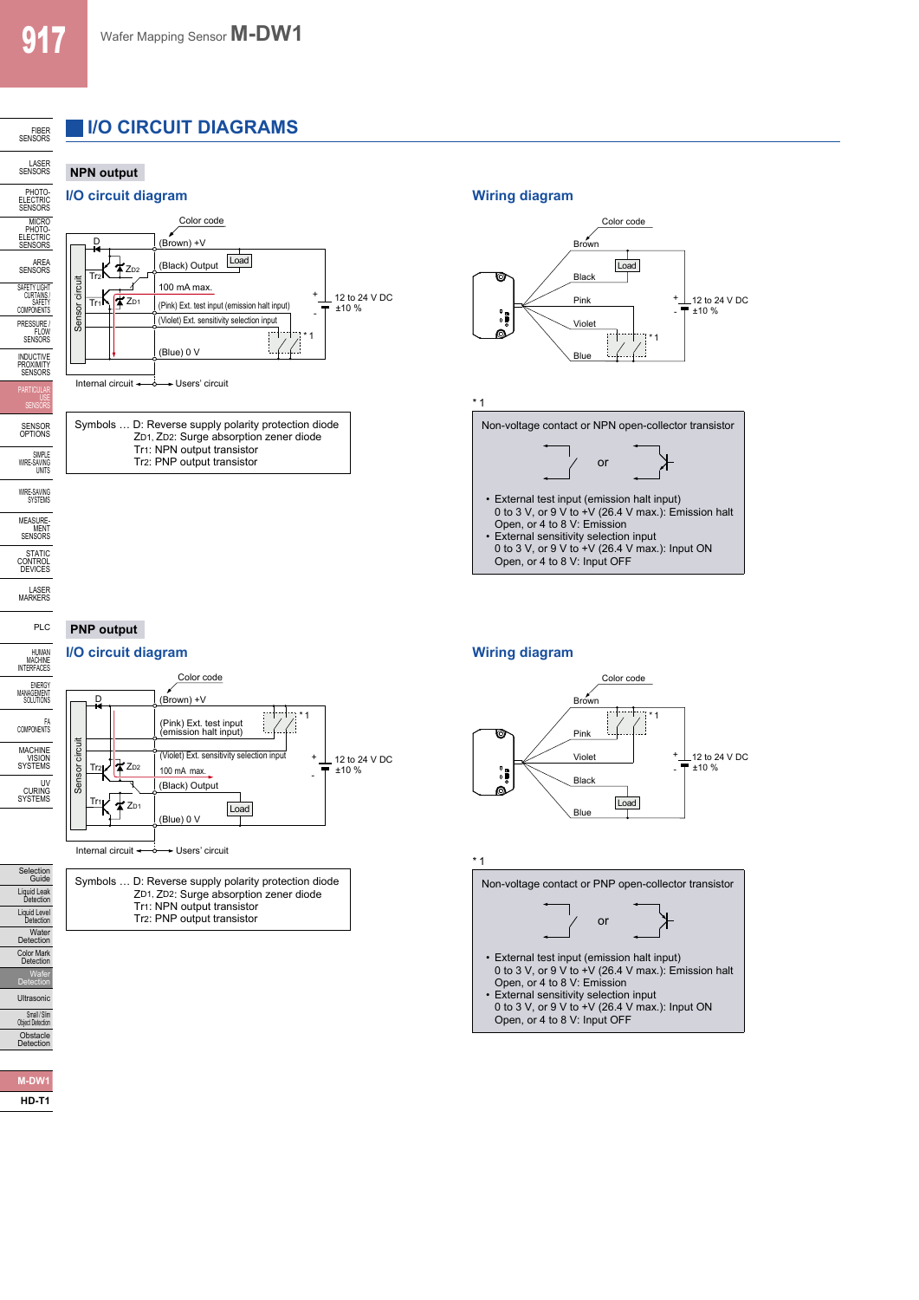## **I/O CIRCUIT DIAGRAMS**

#### LASER<br>SENSORS **NPN output**

FIBER<br>SENSORS





Tr2: PNP output transistor



\* 1

\* 1

Non-voltage contact or NPN open-collector transistor



## **PNP output**

# D





### Symbols … D: Reverse supply polarity protection diode ZD1, ZD2: Surge absorption zener diode Tr1: NPN output transistor Tr2: PNP output transistor

#### Color code Brown ₹ \* 1 Pink Violet + 12 to 24 V DC ±10 % 'n - Black Load Blue



- External test input (emission halt input) 0 to 3 V, or 9 V to +V (26.4 V max.): Emission halt Open, or 4 to 8 V: Emission
- External sensitivity selection input 0 to 3 V, or 9 V to +V (26.4 V max.): Input ON Open, or 4 to 8 V: Input OFF

SIMPLE WIRE-SAVING UNITS

STATIC<br>CONTROL<br>DEVICES

LASER MARKERS PLC

HUMAN<br>MACHINE<br>INTERFACES

Selection Guide Liquid Leak Detection Liquid Level Detection Water Detection Color Mark Detection Wafer Detection Ultrasonic Small / Slim Object Detection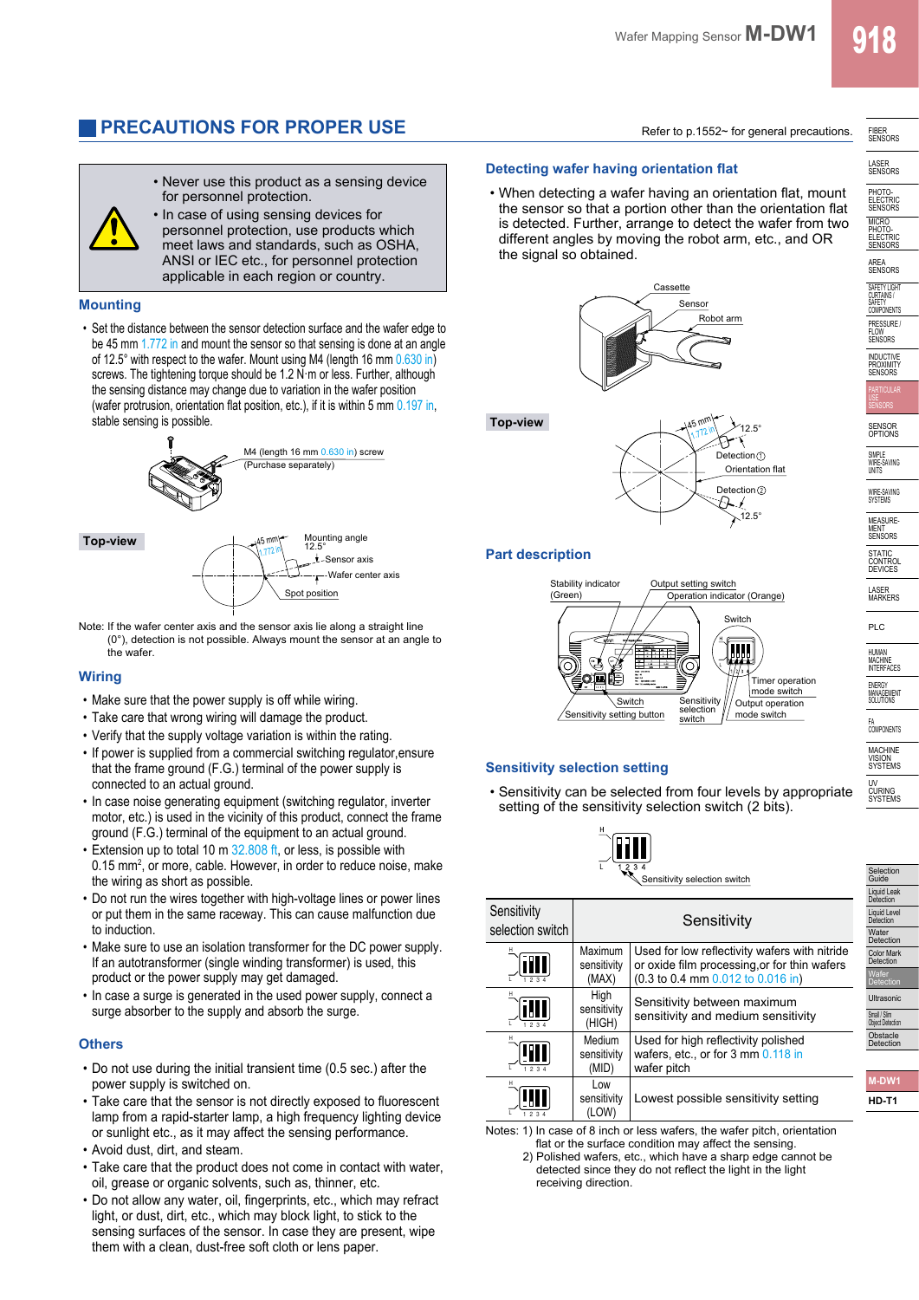## **PRECAUTIONS FOR PROPER USE** Refer to p.1552~ for general precautions.

• Never use this product as a sensing device for personnel protection. • In case of using sensing devices for

personnel protection, use products which meet laws and standards, such as OSHA, ANSI or IEC etc., for personnel protection applicable in each region or country.

#### **Mounting**

• Set the distance between the sensor detection surface and the wafer edge to be 45 mm 1.772 in and mount the sensor so that sensing is done at an angle of 12.5° with respect to the wafer. Mount using M4 (length 16 mm 0.630 in) screws. The tightening torque should be 1.2 N·m or less. Further, although the sensing distance may change due to variation in the wafer position (wafer protrusion, orientation flat position, etc.), if it is within 5 mm 0.197 in, stable sensing is possible.



**Top-view**

45 mm 1.772 in Mounting angle 12.5° **Insor axis** Wafer center axis Spot position

Note: If the wafer center axis and the sensor axis lie along a straight line (0°), detection is not possible. Always mount the sensor at an angle to the wafer.

#### **Wiring**

- Make sure that the power supply is off while wiring.
- Take care that wrong wiring will damage the product.
- Verify that the supply voltage variation is within the rating.
- If power is supplied from a commercial switching regulator,ensure that the frame ground (F.G.) terminal of the power supply is connected to an actual ground.
- In case noise generating equipment (switching regulator, inverter motor, etc.) is used in the vicinity of this product, connect the frame ground (F.G.) terminal of the equipment to an actual ground.
- Extension up to total 10 m 32,808 ft, or less, is possible with 0.15 mm<sup>2</sup>, or more, cable. However, in order to reduce noise, make the wiring as short as possible.
- Do not run the wires together with high-voltage lines or power lines or put them in the same raceway. This can cause malfunction due to induction.
- Make sure to use an isolation transformer for the DC power supply. If an autotransformer (single winding transformer) is used, this product or the power supply may get damaged.
- In case a surge is generated in the used power supply, connect a surge absorber to the supply and absorb the surge.

#### **Others**

- Do not use during the initial transient time (0.5 sec.) after the power supply is switched on.
- Take care that the sensor is not directly exposed to fluorescent lamp from a rapid-starter lamp, a high frequency lighting device or sunlight etc., as it may affect the sensing performance.
- Avoid dust, dirt, and steam.
- Take care that the product does not come in contact with water, oil, grease or organic solvents, such as, thinner, etc.
- Do not allow any water, oil, fingerprints, etc., which may refract light, or dust, dirt, etc., which may block light, to stick to the sensing surfaces of the sensor. In case they are present, wipe them with a clean, dust-free soft cloth or lens paper.

#### **Detecting wafer having orientation flat**

• When detecting a wafer having an orientation flat, mount the sensor so that a portion other than the orientation flat is detected. Further, arrange to detect the wafer from two different angles by moving the robot arm, etc., and OR the signal so obtained.







#### **Part description**



#### **Sensitivity selection setting**

• Sensitivity can be selected from four levels by appropriate setting of the sensitivity selection switch (2 bits).



| Sensitivity<br>selection switch | Sensitivity                     |                                                                                                                                   |  |
|---------------------------------|---------------------------------|-----------------------------------------------------------------------------------------------------------------------------------|--|
| <b>THI</b>                      | Maximum<br>sensitivity<br>(MAX) | Used for low reflectivity wafers with nitride<br>or oxide film processing or for thin wafers<br>(0.3 to 0.4 mm 0.012 to 0.016 in) |  |
| <u>HII</u><br>1234              | High<br>sensitivity<br>(HIGH)   | Sensitivity between maximum<br>sensitivity and medium sensitivity                                                                 |  |
| 1234                            | Medium<br>sensitivity<br>(MID)  | Used for high reflectivity polished<br>wafers, etc., or for 3 mm 0.118 in<br>wafer pitch                                          |  |
|                                 | Low<br>sensitivity<br>(LOW)     | Lowest possible sensitivity setting                                                                                               |  |

Notes: 1) In case of 8 inch or less wafers, the wafer pitch, orientation flat or the surface condition may affect the sensing.

2) Polished wafers, etc., which have a sharp edge cannot be detected since they do not reflect the light in the light receiving direction.

FIBER SENSORS

LASER SENSORS PHOTO- ELECTRIC SENSORS MICRO<br>PHOTO-<br>ELECTRIC<br>SENSORS

AREA SENSORS SAFETY LIGHT CURTAINS / SAFETY COMPONENTS PRESSURE FLOW SENSORS **INDUCTIVE** PROXIMITY<br>SENSORS

SENSOR OPTIONS

SIMPLE WIRE-SAVING UNITS

WIRE-SAVING SYSTEMS **MEASURE** MENT<br>SENSORS **STATIC** CONTROL DEVICES LASER MARKERS PLC

HUMAN MACHINE INTERFACES ENERGY MANAGEMENT SOLUTIONS FA COMPONENTS **MACHINE** VISION SYSTEMS UV CURING SYSTEMS

Selection Guide Liquid Leak Detection Liquid Level Detection Water Detection Color Mark Detection Wafer **Detection** Ultrasonic Small / Simil<br>Object Detection Obstacle Detection

**M-DW1 HD-T1**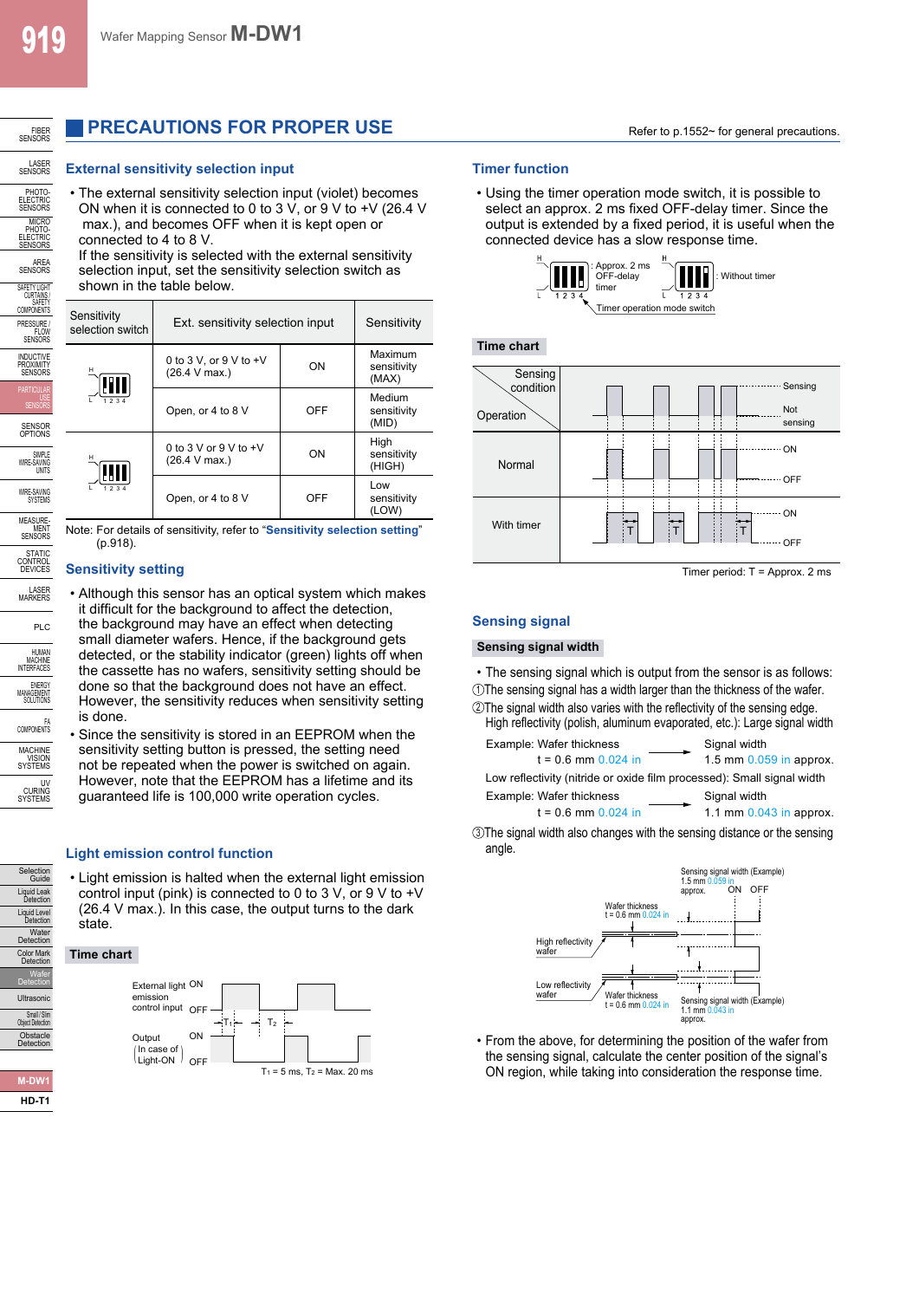Selection Guide Liquid Leak Detection Liquid Level Water<br>Detection Color Mark Detection Wafer Detection Ultrasonic Small / Slim Object Detection Obstacle Detection

**M-DW1 HD-T1**

## **PRECAUTIONS FOR PROPER USE**

#### **External sensitivity selection input the set of the Contract Timer function**

• The external sensitivity selection input (violet) becomes ON when it is connected to 0 to 3 V, or 9 V to +V (26.4 V max.), and becomes OFF when it is kept open or connected to 4 to 8 V.

If the sensitivity is selected with the external sensitivity selection input, set the sensitivity selection switch as shown in the table below.

| Sensitivity<br>selection switch | Ext. sensitivity selection input            | Sensitivity |                                 |
|---------------------------------|---------------------------------------------|-------------|---------------------------------|
| н<br>81 I                       | 0 to 3 V, or $9$ V to $+V$<br>(26.4 V max.) | ON          | Maximum<br>sensitivity<br>(MAX) |
| 1234                            | Open, or 4 to 8 V                           | OFF         | Medium<br>sensitivity<br>(MID)  |
| н                               | 0 to 3 V or 9 V to $+V$<br>(26.4 V max.)    | ON          | High<br>sensitivity<br>(HIGH)   |
|                                 | Open, or 4 to 8 V                           | OFF         | Low<br>sensitivity<br>(LOW)     |

Note: For details of sensitivity, refer to "**Sensitivity selection setting**" (p.918).

### **Sensitivity setting**

• Although this sensor has an optical system which makes it difficult for the background to affect the detection, the background may have an effect when detecting small diameter wafers. Hence, if the background gets detected, or the stability indicator (green) lights off when the cassette has no wafers, sensitivity setting should be done so that the background does not have an effect. However, the sensitivity reduces when sensitivity setting is done.

• Since the sensitivity is stored in an EEPROM when the sensitivity setting button is pressed, the setting need not be repeated when the power is switched on again. However, note that the EEPROM has a lifetime and its guaranteed life is 100,000 write operation cycles.

#### **Light emission control function**

• Light emission is halted when the external light emission control input (pink) is connected to 0 to 3 V, or 9 V to  $+V$ (26.4 V max.). In this case, the output turns to the dark state.

**Time chart**



• Using the timer operation mode switch, it is possible to select an approx. 2 ms fixed OFF-delay timer. Since the output is extended by a fixed period, it is useful when the connected device has a slow response time.



**Time chart**



Timer period: T = Approx. 2 ms

#### **Sensing signal**

#### **Sensing signal width**

• The sensing signal which is output from the sensor is as follows: <sup>1</sup> The sensing signal has a width larger than the thickness of the wafer. <sup>2</sup> The signal width also varies with the reflectivity of the sensing edge.

| High reflectivity (polish, aluminum evaporated, etc.): Large signal width |                                           |
|---------------------------------------------------------------------------|-------------------------------------------|
| Example: Wafer thickness<br>$t = 0.6$ mm $0.024$ in                       | Signal width<br>1.5 mm $0.059$ in approx. |
| Low reflectivity (nitride or oxide film processed): Small signal width    |                                           |
| Example: Wafer thickness                                                  | Signal width                              |
| $t = 0.6$ mm 0.024 in                                                     | 1.1 mm 0.043 in approx.                   |

<sup>3</sup> The signal width also changes with the sensing distance or the sensing angle.



• From the above, for determining the position of the wafer from the sensing signal, calculate the center position of the signal's ON region, while taking into consideration the response time.